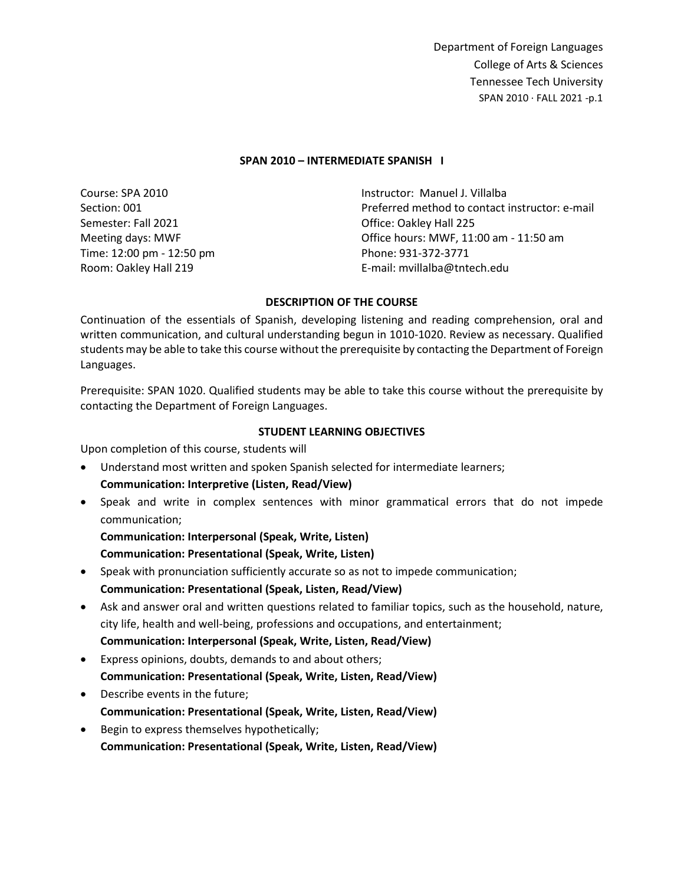#### **SPAN 2010 – INTERMEDIATE SPANISH I**

Course: SPA 2010 Section: 001 Semester: Fall 2021 Meeting days: MWF Time: 12:00 pm - 12:50 pm Room: Oakley Hall 219 Instructor: Manuel J. Villalba Preferred method to contact instructor: e-mail Office: Oakley Hall 225 Office hours: MWF, 11:00 am - 11:50 am Phone: 931-372-3771 E-mail: mvillalba@tntech.edu

### **DESCRIPTION OF THE COURSE**

Continuation of the essentials of Spanish, developing listening and reading comprehension, oral and written communication, and cultural understanding begun in 1010-1020. Review as necessary. Qualified students may be able to take this course without the prerequisite by contacting the Department of Foreign Languages.

Prerequisite: SPAN 1020. Qualified students may be able to take this course without the prerequisite by contacting the Department of Foreign Languages.

#### **STUDENT LEARNING OBJECTIVES**

Upon completion of this course, students will

- Understand most written and spoken Spanish selected for intermediate learners; **Communication: Interpretive (Listen, Read/View)**
- Speak and write in complex sentences with minor grammatical errors that do not impede communication;

**Communication: Interpersonal (Speak, Write, Listen) Communication: Presentational (Speak, Write, Listen)**

- Speak with pronunciation sufficiently accurate so as not to impede communication; **Communication: Presentational (Speak, Listen, Read/View)**
- Ask and answer oral and written questions related to familiar topics, such as the household, nature, city life, health and well-being, professions and occupations, and entertainment; **Communication: Interpersonal (Speak, Write, Listen, Read/View)**
- Express opinions, doubts, demands to and about others; **Communication: Presentational (Speak, Write, Listen, Read/View)**
- Describe events in the future; **Communication: Presentational (Speak, Write, Listen, Read/View)**
- Begin to express themselves hypothetically; **Communication: Presentational (Speak, Write, Listen, Read/View)**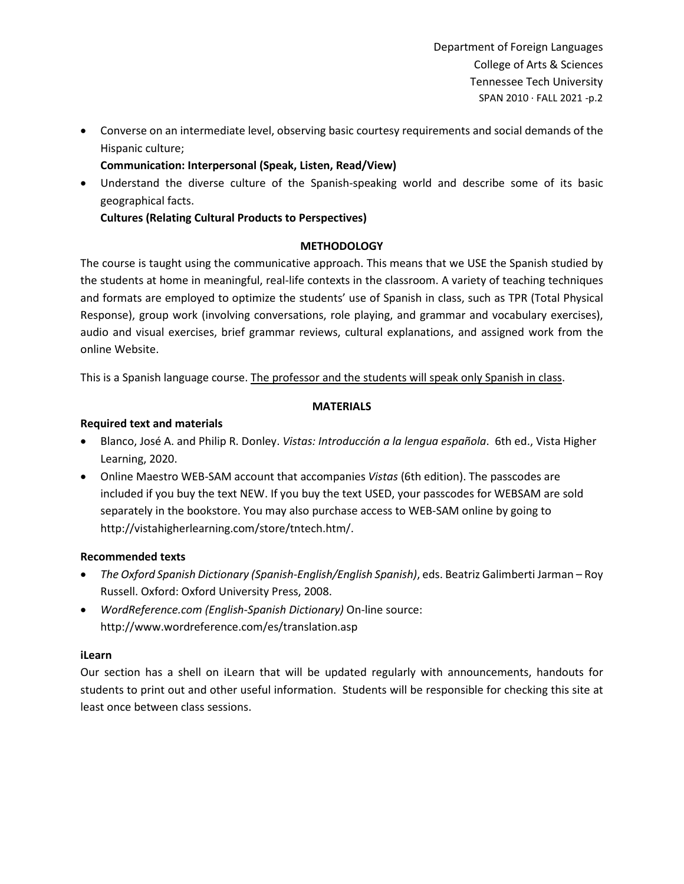• Converse on an intermediate level, observing basic courtesy requirements and social demands of the Hispanic culture;

**Communication: Interpersonal (Speak, Listen, Read/View)**

• Understand the diverse culture of the Spanish-speaking world and describe some of its basic geographical facts.

**Cultures (Relating Cultural Products to Perspectives)**

# **METHODOLOGY**

The course is taught using the communicative approach. This means that we USE the Spanish studied by the students at home in meaningful, real-life contexts in the classroom. A variety of teaching techniques and formats are employed to optimize the students' use of Spanish in class, such as TPR (Total Physical Response), group work (involving conversations, role playing, and grammar and vocabulary exercises), audio and visual exercises, brief grammar reviews, cultural explanations, and assigned work from the online Website.

This is a Spanish language course. The professor and the students will speak only Spanish in class.

# **MATERIALS**

# **Required text and materials**

- Blanco, José A. and Philip R. Donley. *Vistas: Introducción a la lengua española*. 6th ed., Vista Higher Learning, 2020.
- Online Maestro WEB-SAM account that accompanies *Vistas* (6th edition). The passcodes are included if you buy the text NEW. If you buy the text USED, your passcodes for WEBSAM are sold separately in the bookstore. You may also purchase access to WEB-SAM online by going to http://vistahigherlearning.com/store/tntech.htm/.

# **Recommended texts**

- *The Oxford Spanish Dictionary (Spanish-English/English Spanish)*, eds. Beatriz Galimberti Jarman Roy Russell. Oxford: Oxford University Press, 2008.
- *WordReference.com (English-Spanish Dictionary)* On-line source: http://www.wordreference.com/es/translation.asp

# **iLearn**

Our section has a shell on iLearn that will be updated regularly with announcements, handouts for students to print out and other useful information. Students will be responsible for checking this site at least once between class sessions.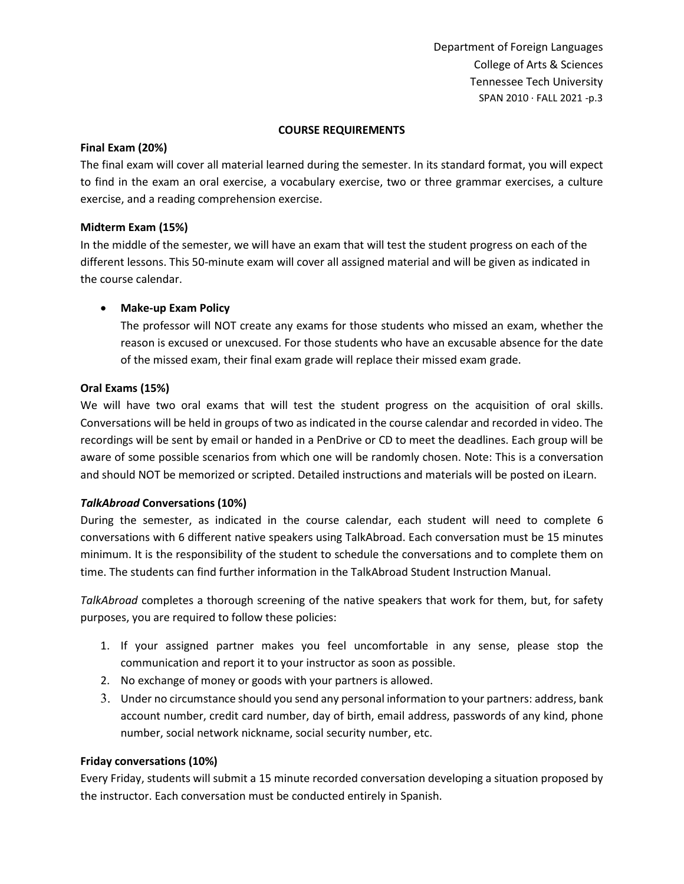### **COURSE REQUIREMENTS**

### **Final Exam (20%)**

The final exam will cover all material learned during the semester. In its standard format, you will expect to find in the exam an oral exercise, a vocabulary exercise, two or three grammar exercises, a culture exercise, and a reading comprehension exercise.

# **Midterm Exam (15%)**

In the middle of the semester, we will have an exam that will test the student progress on each of the different lessons. This 50-minute exam will cover all assigned material and will be given as indicated in the course calendar.

# • **Make-up Exam Policy**

The professor will NOT create any exams for those students who missed an exam, whether the reason is excused or unexcused. For those students who have an excusable absence for the date of the missed exam, their final exam grade will replace their missed exam grade.

### **Oral Exams (15%)**

We will have two oral exams that will test the student progress on the acquisition of oral skills. Conversations will be held in groups of two as indicated in the course calendar and recorded in video. The recordings will be sent by email or handed in a PenDrive or CD to meet the deadlines. Each group will be aware of some possible scenarios from which one will be randomly chosen. Note: This is a conversation and should NOT be memorized or scripted. Detailed instructions and materials will be posted on iLearn.

# *TalkAbroad* **Conversations (10%)**

During the semester, as indicated in the course calendar, each student will need to complete 6 conversations with 6 different native speakers using TalkAbroad. Each conversation must be 15 minutes minimum. It is the responsibility of the student to schedule the conversations and to complete them on time. The students can find further information in the TalkAbroad Student Instruction Manual.

*TalkAbroad* completes a thorough screening of the native speakers that work for them, but, for safety purposes, you are required to follow these policies:

- 1. If your assigned partner makes you feel uncomfortable in any sense, please stop the communication and report it to your instructor as soon as possible.
- 2. No exchange of money or goods with your partners is allowed.
- 3. Under no circumstance should you send any personal information to your partners: address, bank account number, credit card number, day of birth, email address, passwords of any kind, phone number, social network nickname, social security number, etc.

# **Friday conversations (10%)**

Every Friday, students will submit a 15 minute recorded conversation developing a situation proposed by the instructor. Each conversation must be conducted entirely in Spanish.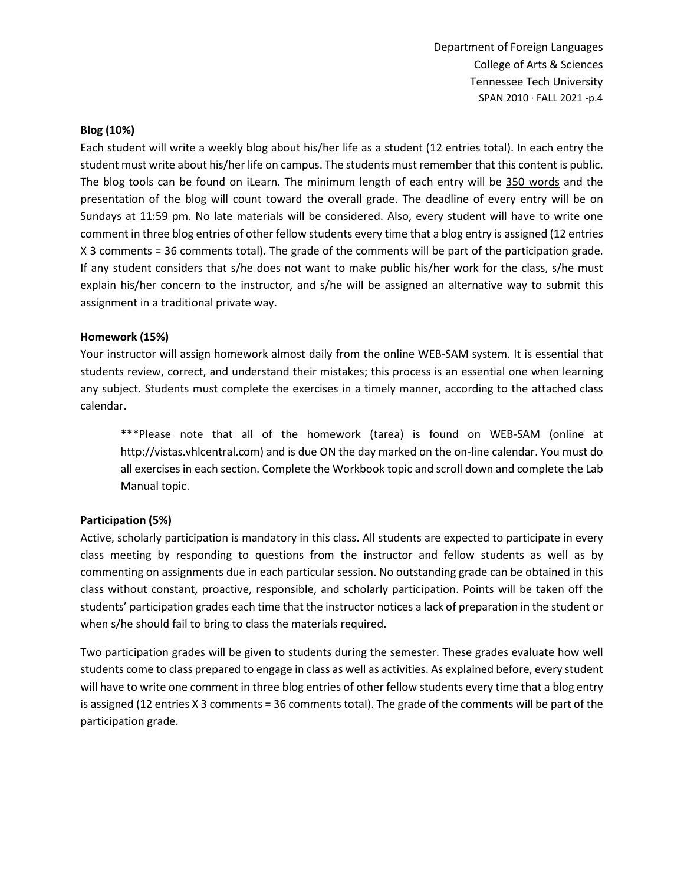### **Blog (10%)**

Each student will write a weekly blog about his/her life as a student (12 entries total). In each entry the student must write about his/her life on campus. The students must remember that this content is public. The blog tools can be found on iLearn. The minimum length of each entry will be 350 words and the presentation of the blog will count toward the overall grade. The deadline of every entry will be on Sundays at 11:59 pm. No late materials will be considered. Also, every student will have to write one comment in three blog entries of other fellow students every time that a blog entry is assigned (12 entries X 3 comments = 36 comments total). The grade of the comments will be part of the participation grade. If any student considers that s/he does not want to make public his/her work for the class, s/he must explain his/her concern to the instructor, and s/he will be assigned an alternative way to submit this assignment in a traditional private way.

### **Homework (15%)**

Your instructor will assign homework almost daily from the online WEB-SAM system. It is essential that students review, correct, and understand their mistakes; this process is an essential one when learning any subject. Students must complete the exercises in a timely manner, according to the attached class calendar.

\*\*\*Please note that all of the homework (tarea) is found on WEB-SAM (online at http://vistas.vhlcentral.com) and is due ON the day marked on the on-line calendar. You must do all exercises in each section. Complete the Workbook topic and scroll down and complete the Lab Manual topic.

# **Participation (5%)**

Active, scholarly participation is mandatory in this class. All students are expected to participate in every class meeting by responding to questions from the instructor and fellow students as well as by commenting on assignments due in each particular session. No outstanding grade can be obtained in this class without constant, proactive, responsible, and scholarly participation. Points will be taken off the students' participation grades each time that the instructor notices a lack of preparation in the student or when s/he should fail to bring to class the materials required.

Two participation grades will be given to students during the semester. These grades evaluate how well students come to class prepared to engage in class as well as activities. As explained before, every student will have to write one comment in three blog entries of other fellow students every time that a blog entry is assigned (12 entries X 3 comments = 36 comments total). The grade of the comments will be part of the participation grade.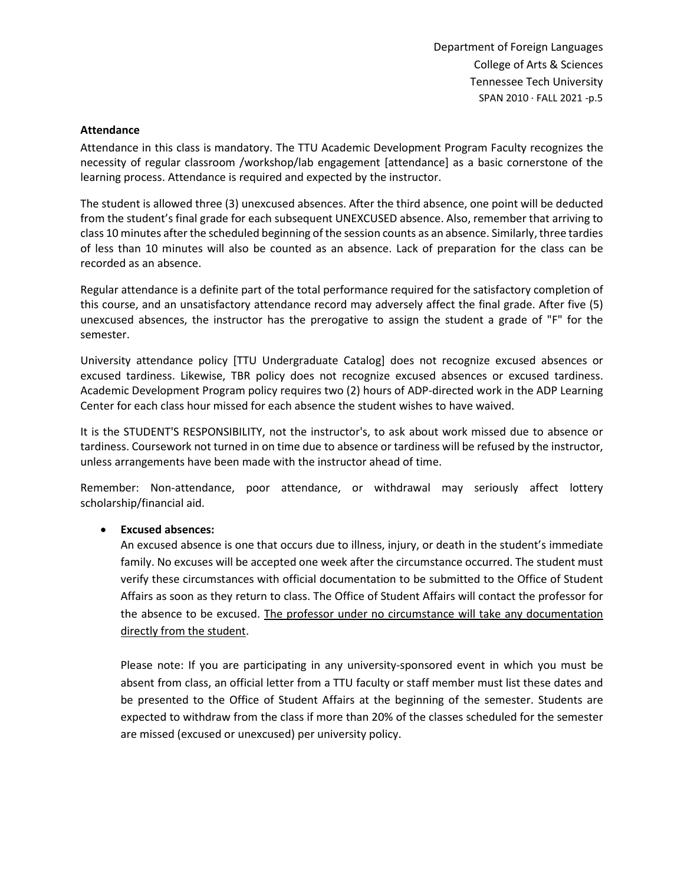### **Attendance**

Attendance in this class is mandatory. The TTU Academic Development Program Faculty recognizes the necessity of regular classroom /workshop/lab engagement [attendance] as a basic cornerstone of the learning process. Attendance is required and expected by the instructor.

The student is allowed three (3) unexcused absences. After the third absence, one point will be deducted from the student's final grade for each subsequent UNEXCUSED absence. Also, remember that arriving to class 10 minutes after the scheduled beginning of the session counts as an absence. Similarly, three tardies of less than 10 minutes will also be counted as an absence. Lack of preparation for the class can be recorded as an absence.

Regular attendance is a definite part of the total performance required for the satisfactory completion of this course, and an unsatisfactory attendance record may adversely affect the final grade. After five (5) unexcused absences, the instructor has the prerogative to assign the student a grade of "F" for the semester.

University attendance policy [TTU Undergraduate Catalog] does not recognize excused absences or excused tardiness. Likewise, TBR policy does not recognize excused absences or excused tardiness. Academic Development Program policy requires two (2) hours of ADP-directed work in the ADP Learning Center for each class hour missed for each absence the student wishes to have waived.

It is the STUDENT'S RESPONSIBILITY, not the instructor's, to ask about work missed due to absence or tardiness. Coursework not turned in on time due to absence or tardiness will be refused by the instructor, unless arrangements have been made with the instructor ahead of time.

Remember: Non-attendance, poor attendance, or withdrawal may seriously affect lottery scholarship/financial aid.

# • **Excused absences:**

An excused absence is one that occurs due to illness, injury, or death in the student's immediate family. No excuses will be accepted one week after the circumstance occurred. The student must verify these circumstances with official documentation to be submitted to the Office of Student Affairs as soon as they return to class. The Office of Student Affairs will contact the professor for the absence to be excused. The professor under no circumstance will take any documentation directly from the student.

Please note: If you are participating in any university-sponsored event in which you must be absent from class, an official letter from a TTU faculty or staff member must list these dates and be presented to the Office of Student Affairs at the beginning of the semester. Students are expected to withdraw from the class if more than 20% of the classes scheduled for the semester are missed (excused or unexcused) per university policy.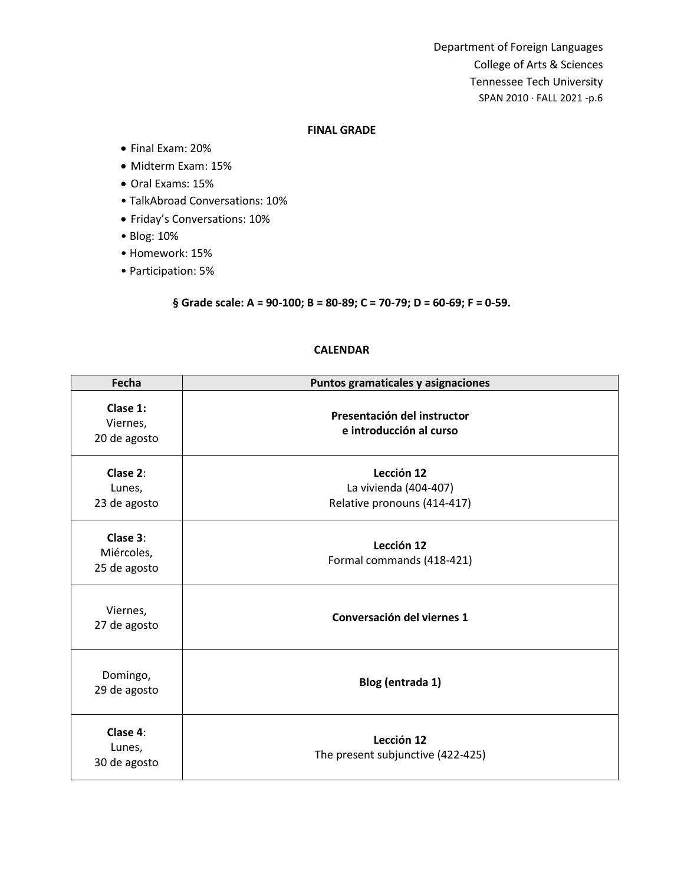#### **FINAL GRADE**

- Final Exam: 20%
- Midterm Exam: 15%
- Oral Exams: 15%
- TalkAbroad Conversations: 10%
- Friday's Conversations: 10%
- Blog: 10%
- Homework: 15%
- Participation: 5%

**§ Grade scale: A = 90-100; B = 80-89; C = 70-79; D = 60-69; F = 0-59.**

# **CALENDAR**

| Fecha                                  | Puntos gramaticales y asignaciones                                 |
|----------------------------------------|--------------------------------------------------------------------|
| Clase 1:<br>Viernes,<br>20 de agosto   | Presentación del instructor<br>e introducción al curso             |
| Clase 2:<br>Lunes,<br>23 de agosto     | Lección 12<br>La vivienda (404-407)<br>Relative pronouns (414-417) |
| Clase 3:<br>Miércoles,<br>25 de agosto | Lección 12<br>Formal commands (418-421)                            |
| Viernes,<br>27 de agosto               | Conversación del viernes 1                                         |
| Domingo,<br>29 de agosto               | Blog (entrada 1)                                                   |
| Clase 4:<br>Lunes,<br>30 de agosto     | Lección 12<br>The present subjunctive (422-425)                    |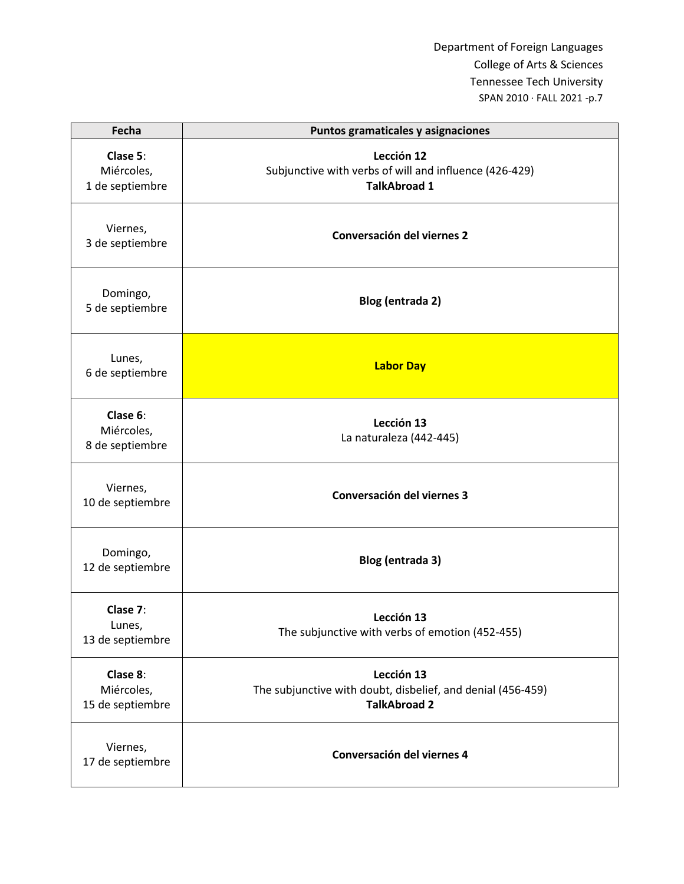| Fecha                                      | Puntos gramaticales y asignaciones                                                               |
|--------------------------------------------|--------------------------------------------------------------------------------------------------|
| Clase 5:<br>Miércoles,<br>1 de septiembre  | Lección 12<br>Subjunctive with verbs of will and influence (426-429)<br><b>TalkAbroad 1</b>      |
| Viernes,<br>3 de septiembre                | Conversación del viernes 2                                                                       |
| Domingo,<br>5 de septiembre                | Blog (entrada 2)                                                                                 |
| Lunes,<br>6 de septiembre                  | <b>Labor Day</b>                                                                                 |
| Clase 6:<br>Miércoles,<br>8 de septiembre  | Lección 13<br>La naturaleza (442-445)                                                            |
| Viernes,<br>10 de septiembre               | Conversación del viernes 3                                                                       |
| Domingo,<br>12 de septiembre               | Blog (entrada 3)                                                                                 |
| Clase 7:<br>Lunes,<br>13 de septiembre     | Lección 13<br>The subjunctive with verbs of emotion (452-455)                                    |
| Clase 8:<br>Miércoles,<br>15 de septiembre | Lección 13<br>The subjunctive with doubt, disbelief, and denial (456-459)<br><b>TalkAbroad 2</b> |
| Viernes,<br>17 de septiembre               | Conversación del viernes 4                                                                       |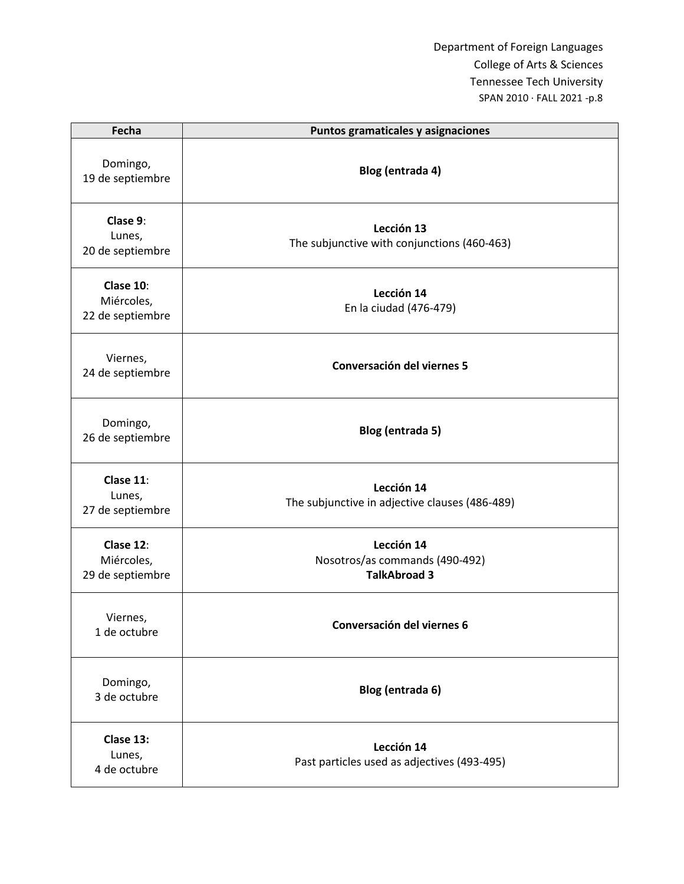| Fecha                                       | Puntos gramaticales y asignaciones                                  |
|---------------------------------------------|---------------------------------------------------------------------|
| Domingo,<br>19 de septiembre                | Blog (entrada 4)                                                    |
| Clase 9:<br>Lunes,<br>20 de septiembre      | Lección 13<br>The subjunctive with conjunctions (460-463)           |
| Clase 10:<br>Miércoles,<br>22 de septiembre | Lección 14<br>En la ciudad (476-479)                                |
| Viernes,<br>24 de septiembre                | Conversación del viernes 5                                          |
| Domingo,<br>26 de septiembre                | Blog (entrada 5)                                                    |
| Clase 11:<br>Lunes,<br>27 de septiembre     | Lección 14<br>The subjunctive in adjective clauses (486-489)        |
| Clase 12:<br>Miércoles,<br>29 de septiembre | Lección 14<br>Nosotros/as commands (490-492)<br><b>TalkAbroad 3</b> |
| Viernes,<br>1 de octubre                    | Conversación del viernes 6                                          |
| Domingo,<br>3 de octubre                    | Blog (entrada 6)                                                    |
| Clase 13:<br>Lunes,<br>4 de octubre         | Lección 14<br>Past particles used as adjectives (493-495)           |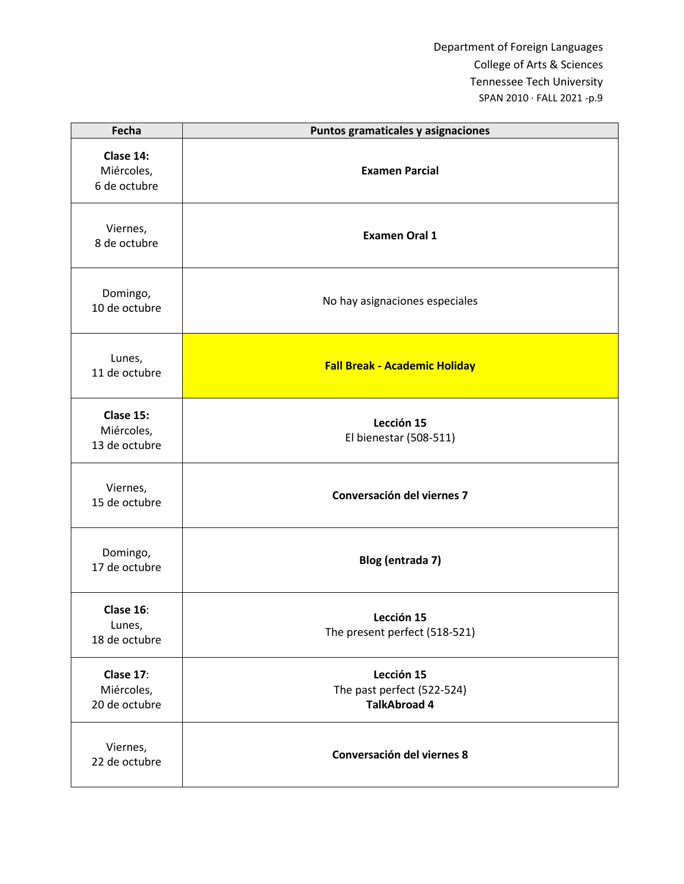| Fecha                                    | Puntos gramaticales y asignaciones                              |
|------------------------------------------|-----------------------------------------------------------------|
| Clase 14:<br>Miércoles,<br>6 de octubre  | <b>Examen Parcial</b>                                           |
| Viernes,<br>8 de octubre                 | <b>Examen Oral 1</b>                                            |
| Domingo,<br>10 de octubre                | No hay asignaciones especiales                                  |
| Lunes,<br>11 de octubre                  | <b>Fall Break - Academic Holiday</b>                            |
| Clase 15:<br>Miércoles,<br>13 de octubre | Lección 15<br>El bienestar (508-511)                            |
| Viernes,<br>15 de octubre                | Conversación del viernes 7                                      |
| Domingo,<br>17 de octubre                | Blog (entrada 7)                                                |
| Clase 16:<br>Lunes,<br>18 de octubre     | Lección 15<br>The present perfect (518-521)                     |
| Clase 17:<br>Miércoles,<br>20 de octubre | Lección 15<br>The past perfect (522-524)<br><b>TalkAbroad 4</b> |
| Viernes,<br>22 de octubre                | Conversación del viernes 8                                      |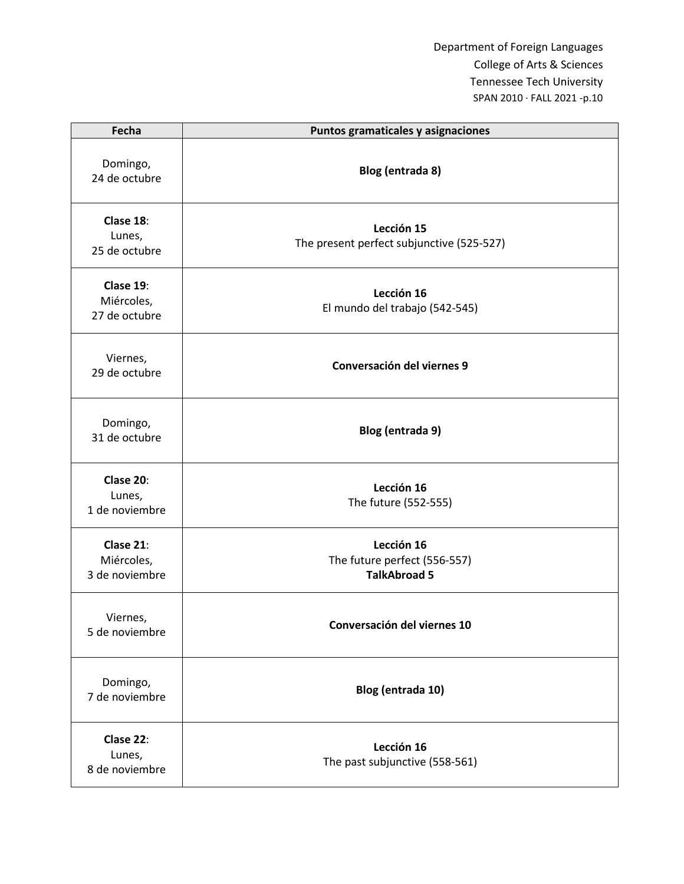| Fecha                                     | Puntos gramaticales y asignaciones                                |
|-------------------------------------------|-------------------------------------------------------------------|
| Domingo,<br>24 de octubre                 | Blog (entrada 8)                                                  |
| Clase 18:<br>Lunes,<br>25 de octubre      | Lección 15<br>The present perfect subjunctive (525-527)           |
| Clase 19:<br>Miércoles,<br>27 de octubre  | Lección 16<br>El mundo del trabajo (542-545)                      |
| Viernes,<br>29 de octubre                 | Conversación del viernes 9                                        |
| Domingo,<br>31 de octubre                 | Blog (entrada 9)                                                  |
| Clase 20:<br>Lunes,<br>1 de noviembre     | Lección 16<br>The future (552-555)                                |
| Clase 21:<br>Miércoles,<br>3 de noviembre | Lección 16<br>The future perfect (556-557)<br><b>TalkAbroad 5</b> |
| Viernes,<br>5 de noviembre                | Conversación del viernes 10                                       |
| Domingo,<br>7 de noviembre                | Blog (entrada 10)                                                 |
| Clase 22:<br>Lunes,<br>8 de noviembre     | Lección 16<br>The past subjunctive (558-561)                      |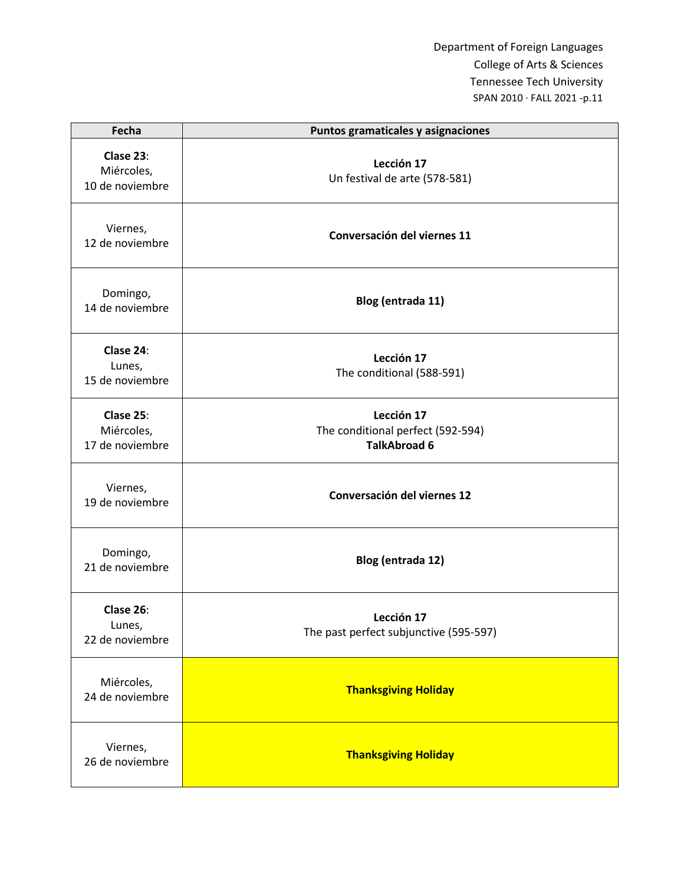| Fecha                                      | Puntos gramaticales y asignaciones                                     |
|--------------------------------------------|------------------------------------------------------------------------|
| Clase 23:<br>Miércoles,<br>10 de noviembre | Lección 17<br>Un festival de arte (578-581)                            |
| Viernes,<br>12 de noviembre                | Conversación del viernes 11                                            |
| Domingo,<br>14 de noviembre                | Blog (entrada 11)                                                      |
| Clase 24:<br>Lunes,<br>15 de noviembre     | Lección 17<br>The conditional (588-591)                                |
| Clase 25:<br>Miércoles,<br>17 de noviembre | Lección 17<br>The conditional perfect (592-594)<br><b>TalkAbroad 6</b> |
| Viernes,<br>19 de noviembre                | Conversación del viernes 12                                            |
| Domingo,<br>21 de noviembre                | Blog (entrada 12)                                                      |
| Clase 26:<br>Lunes,<br>22 de noviembre     | Lección 17<br>The past perfect subjunctive (595-597)                   |
| Miércoles,<br>24 de noviembre              | <b>Thanksgiving Holiday</b>                                            |
| Viernes,<br>26 de noviembre                | <b>Thanksgiving Holiday</b>                                            |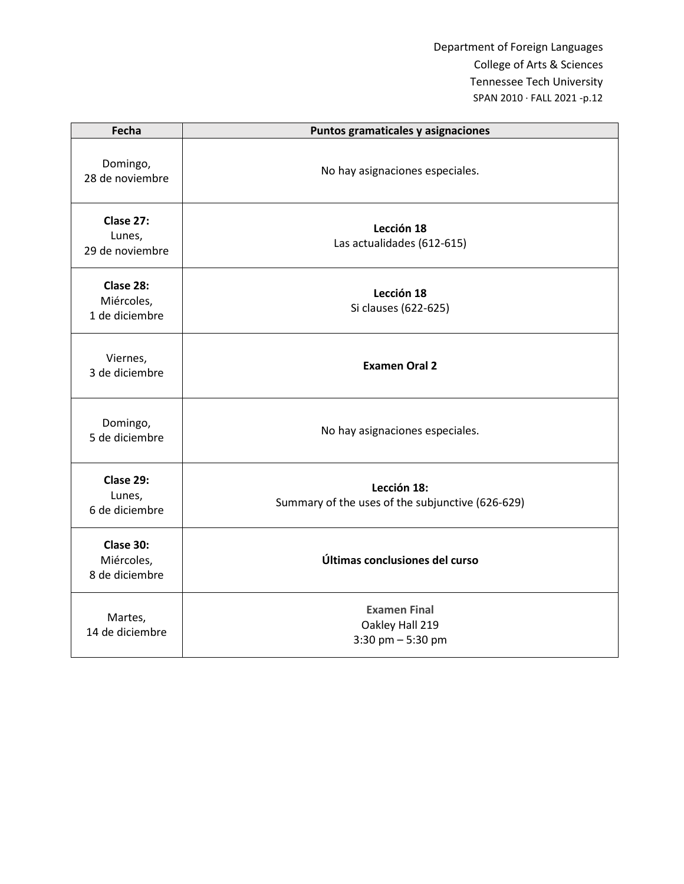| Fecha                                     | Puntos gramaticales y asignaciones                              |
|-------------------------------------------|-----------------------------------------------------------------|
| Domingo,<br>28 de noviembre               | No hay asignaciones especiales.                                 |
| Clase 27:<br>Lunes,<br>29 de noviembre    | Lección 18<br>Las actualidades (612-615)                        |
| Clase 28:<br>Miércoles,<br>1 de diciembre | Lección 18<br>Si clauses (622-625)                              |
| Viernes,<br>3 de diciembre                | <b>Examen Oral 2</b>                                            |
| Domingo,<br>5 de diciembre                | No hay asignaciones especiales.                                 |
| Clase 29:<br>Lunes,<br>6 de diciembre     | Lección 18:<br>Summary of the uses of the subjunctive (626-629) |
| Clase 30:<br>Miércoles,<br>8 de diciembre | Últimas conclusiones del curso                                  |
| Martes,<br>14 de diciembre                | <b>Examen Final</b><br>Oakley Hall 219<br>3:30 pm $-$ 5:30 pm   |